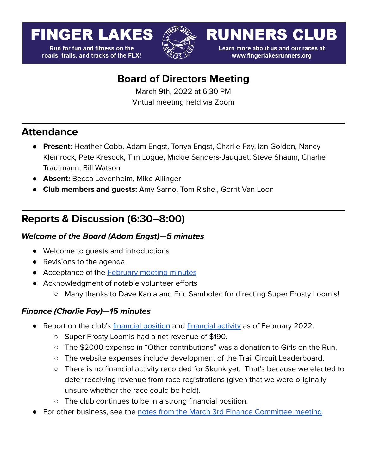# **FINGER LAKES**

**Run for fun and fitness on the** roads, trails, and tracks of the FLX!



**RUNNERS CLUB** 

Learn more about us and our races at www.fingerlakesrunners.org

# **Board of Directors Meeting**

March 9th, 2022 at 6:30 PM Virtual meeting held via Zoom

### **Attendance**

- **Present:** Heather Cobb, Adam Engst, Tonya Engst, Charlie Fay, Ian Golden, Nancy Kleinrock, Pete Kresock, Tim Logue, Mickie Sanders-Jauquet, Steve Shaum, Charlie Trautmann, Bill Watson
- **Absent:** Becca Lovenheim, Mike Allinger
- **Club members and guests:** Amy Sarno, Tom Rishel, Gerrit Van Loon

# **Reports & Discussion (6:30–8:00)**

#### **Welcome of the Board (Adam Engst)—5 minutes**

- Welcome to quests and introductions
- Revisions to the agenda
- Acceptance of the **[February](https://docs.google.com/document/d/1AOCUesLuziiQwtVE9JwapCkyxLcCmH8tcF_qVrjVK5k/edit?usp=sharing) meeting minutes**
- Acknowledgment of notable volunteer efforts
	- Many thanks to Dave Kania and Eric Sambolec for directing Super Frosty Loomis!

#### **Finance (Charlie Fay)—15 minutes**

- Report on the club's [financial](https://drive.google.com/file/d/18PTAJEHJi9JRliAXEiPZv6dBS0ZzvtJP/view?usp=sharing) position and [financial](https://docs.google.com/spreadsheets/d/1jGluPkPVXsUyJ9Hawy0VqX439d8vNc--vCnTBQ7MMK0/edit#gid=1313251547&range=A1:I1) activity as of February 2022.
	- Super Frosty Loomis had a net revenue of \$190.
	- The \$2000 expense in "Other contributions" was a donation to Girls on the Run.
	- The website expenses include development of the Trail Circuit Leaderboard.
	- There is no financial activity recorded for Skunk yet. That's because we elected to defer receiving revenue from race registrations (given that we were originally unsure whether the race could be held).
	- The club continues to be in a strong financial position.
- For other business, see the notes from the March 3rd Finance [Committee](https://forum.fingerlakesrunners.org/t/finance-committee-meeting-agenda-for-march-3-at-4-00pm/3065/3?u=adamengst) meeting.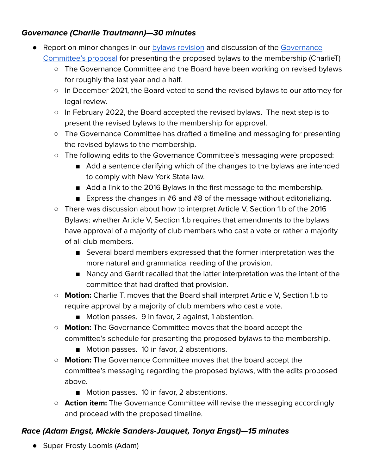#### **Governance (Charlie Trautmann)—30 minutes**

- Report on minor changes in our **bylaws [revision](https://docs.google.com/document/d/18Xcn8vH3aBMi84yyIYytDs-AN1uG1eT2fExzJOCWJYo/edit?usp=sharing)** and discussion of the [Governance](https://docs.google.com/document/d/1Rpk9jGlWgHBlT0YN9eylcjpUFxI55zXmcYQjZgHAlNU/edit?usp=sharing) [Committee's](https://docs.google.com/document/d/1Rpk9jGlWgHBlT0YN9eylcjpUFxI55zXmcYQjZgHAlNU/edit?usp=sharing) proposal for presenting the proposed bylaws to the membership (CharlieT)
	- The Governance Committee and the Board have been working on revised bylaws for roughly the last year and a half.
	- In December 2021, the Board voted to send the revised bylaws to our attorney for legal review.
	- In February 2022, the Board accepted the revised bylaws. The next step is to present the revised bylaws to the membership for approval.
	- The Governance Committee has drafted a timeline and messaging for presenting the revised bylaws to the membership.
	- The following edits to the Governance Committee's messaging were proposed:
		- Add a sentence clarifying which of the changes to the bylaws are intended to comply with New York State law.
		- Add a link to the 2016 Bylaws in the first message to the membership.
		- **Express the changes in**  $#6$  **and**  $#8$  **of the message without editorializing.**
	- There was discussion about how to interpret Article V, Section 1.b of the 2016 Bylaws: whether Article V, Section 1.b requires that amendments to the bylaws have approval of a majority of club members who cast a vote or rather a majority of all club members.
		- Several board members expressed that the former interpretation was the more natural and grammatical reading of the provision.
		- Nancy and Gerrit recalled that the latter interpretation was the intent of the committee that had drafted that provision.
	- **○ Motion:** Charlie T. moves that the Board shall interpret Article V, Section 1.b to require approval by a majority of club members who cast a vote.
		- Motion passes. 9 in favor, 2 against, 1 abstention.
	- **Motion:** The Governance Committee moves that the board accept the committee's schedule for presenting the proposed bylaws to the membership.
		- Motion passes. 10 in favor, 2 abstentions.
	- **Motion:** The Governance Committee moves that the board accept the committee's messaging regarding the proposed bylaws, with the edits proposed above.
		- Motion passes. 10 in favor, 2 abstentions.
	- **○ Action item:** The Governance Committee will revise the messaging accordingly and proceed with the proposed timeline.

#### **Race (Adam Engst, Mickie Sanders-Jauquet, Tonya Engst)—15 minutes**

● Super Frosty Loomis (Adam)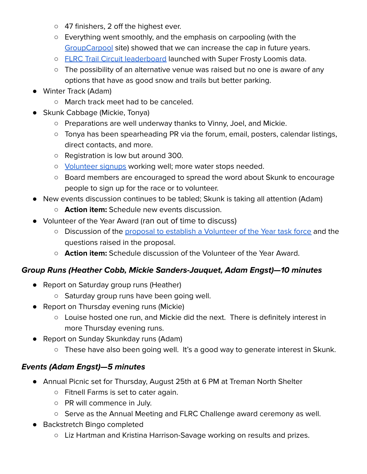- 47 finishers, 2 off the highest ever.
- Everything went smoothly, and the emphasis on carpooling (with the [GroupCarpool](https://www.groupcarpool.com/) site) showed that we can increase the cap in future years.
- o FLRC Trail Circuit [leaderboard](https://trailcircuit.fingerlakesrunners.org/) launched with Super Frosty Loomis data.
- The possibility of an alternative venue was raised but no one is aware of any options that have as good snow and trails but better parking.
- Winter Track (Adam)
	- March track meet had to be canceled.
- Skunk Cabbage (Mickie, Tonya)
	- Preparations are well underway thanks to Vinny, Joel, and Mickie.
	- Tonya has been spearheading PR via the forum, email, posters, calendar listings, direct contacts, and more.
	- Registration is low but around 300.
	- [Volunteer](https://docs.google.com/spreadsheets/d/1RTgKyJCGl_kKYcnO21xUZ4OKHSv5t0T6Ui8xQpQer9M/edit#gid=1095087487&range=A1) signups working well; more water stops needed.
	- Board members are encouraged to spread the word about Skunk to encourage people to sign up for the race or to volunteer.
- New events discussion continues to be tabled; Skunk is taking all attention (Adam)
	- **○ Action item:** Schedule new events discussion.
- Volunteer of the Year Award (ran out of time to discuss)
	- Discussion of the proposal to establish a [Volunteer](https://forum.fingerlakesrunners.org/t/thoughts-about-the-volunteer-of-the-year-award/3071?u=adamengst) of the Year task force and the questions raised in the proposal.
	- **Action item:** Schedule discussion of the Volunteer of the Year Award.

#### **Group Runs (Heather Cobb, Mickie Sanders-Jauquet, Adam Engst)—10 minutes**

- Report on Saturday group runs (Heather)
	- Saturday group runs have been going well.
- Report on Thursday evening runs (Mickie)
	- Louise hosted one run, and Mickie did the next. There is definitely interest in more Thursday evening runs.
- Report on Sunday Skunkday runs (Adam)
	- These have also been going well. It's a good way to generate interest in Skunk.

#### **Events (Adam Engst)—5 minutes**

- Annual Picnic set for Thursday, August 25th at 6 PM at Treman North Shelter
	- Fitnell Farms is set to cater again.
	- PR will commence in July.
	- Serve as the Annual Meeting and FLRC Challenge award ceremony as well.
- Backstretch Bingo completed
	- Liz Hartman and Kristina Harrison-Savage working on results and prizes.